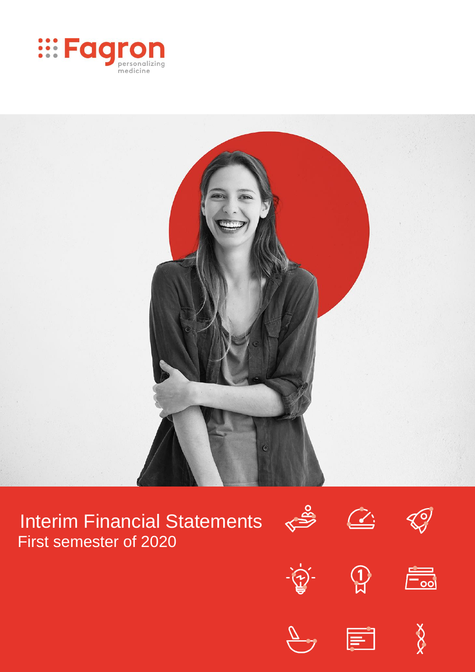



# Interim Financial Statements First semester of 2020

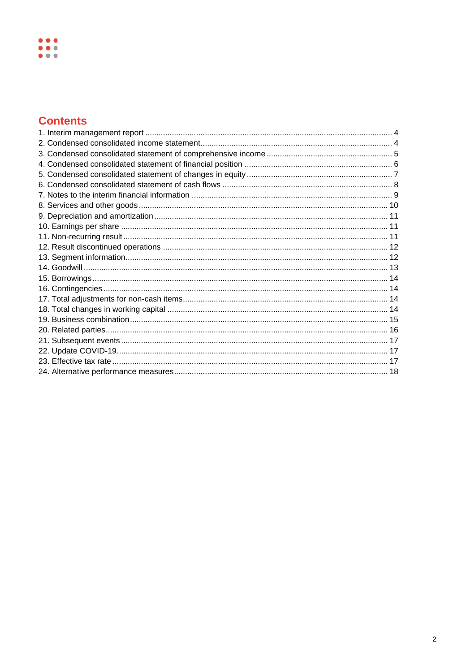### **Contents**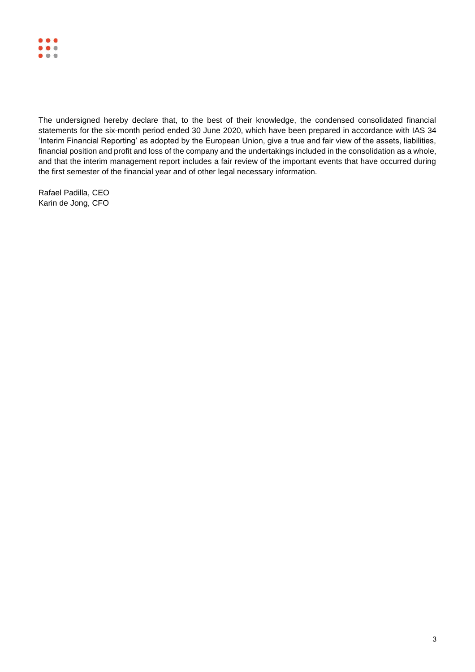

The undersigned hereby declare that, to the best of their knowledge, the condensed consolidated financial statements for the six-month period ended 30 June 2020, which have been prepared in accordance with IAS 34 'Interim Financial Reporting' as adopted by the European Union, give a true and fair view of the assets, liabilities, financial position and profit and loss of the company and the undertakings included in the consolidation as a whole, and that the interim management report includes a fair review of the important events that have occurred during the first semester of the financial year and of other legal necessary information.

Rafael Padilla, CEO Karin de Jong, CFO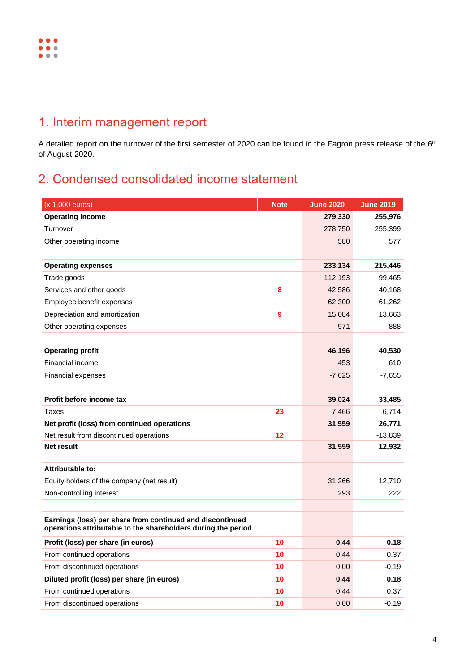

# <span id="page-3-0"></span>1. Interim management report

A detailed report on the turnover of the first semester of 2020 can be found in the Fagron press release of the 6th of August 2020.

# <span id="page-3-1"></span>2. Condensed consolidated income statement

| (x 1,000 euros)                                                                                                            | <b>Note</b> | <b>June 2020</b> | <b>June 2019</b> |
|----------------------------------------------------------------------------------------------------------------------------|-------------|------------------|------------------|
| <b>Operating income</b>                                                                                                    |             | 279,330          | 255,976          |
| Turnover                                                                                                                   |             | 278,750          | 255,399          |
| Other operating income                                                                                                     |             | 580              | 577              |
|                                                                                                                            |             |                  |                  |
| <b>Operating expenses</b>                                                                                                  |             | 233,134          | 215,446          |
| Trade goods                                                                                                                |             | 112,193          | 99,465           |
| Services and other goods                                                                                                   | 8           | 42,586           | 40,168           |
| Employee benefit expenses                                                                                                  |             | 62,300           | 61,262           |
| Depreciation and amortization                                                                                              | 9           | 15,084           | 13,663           |
| Other operating expenses                                                                                                   |             | 971              | 888              |
|                                                                                                                            |             |                  |                  |
| <b>Operating profit</b>                                                                                                    |             | 46,196           | 40,530           |
| Financial income                                                                                                           |             | 453              | 610              |
| Financial expenses                                                                                                         |             | $-7,625$         | $-7,655$         |
|                                                                                                                            |             |                  |                  |
| Profit before income tax                                                                                                   |             | 39,024           | 33,485           |
| <b>Taxes</b>                                                                                                               | 23          | 7,466            | 6,714            |
| Net profit (loss) from continued operations                                                                                |             | 31,559           | 26,771           |
| Net result from discontinued operations                                                                                    | 12          |                  | -13,839          |
| Net result                                                                                                                 |             | 31,559           | 12,932           |
|                                                                                                                            |             |                  |                  |
| <b>Attributable to:</b>                                                                                                    |             |                  |                  |
| Equity holders of the company (net result)                                                                                 |             | 31,266           | 12,710           |
| Non-controlling interest                                                                                                   |             | 293              | 222              |
|                                                                                                                            |             |                  |                  |
| Earnings (loss) per share from continued and discontinued<br>operations attributable to the shareholders during the period |             |                  |                  |
| Profit (loss) per share (in euros)                                                                                         | 10          | 0.44             | 0.18             |
| From continued operations                                                                                                  | 10          | 0.44             | 0.37             |
| From discontinued operations                                                                                               | 10          | 0.00             | $-0.19$          |
| Diluted profit (loss) per share (in euros)                                                                                 | 10          | 0.44             | 0.18             |
| From continued operations                                                                                                  | 10          | 0.44             | 0.37             |
| From discontinued operations                                                                                               | 10          | 0.00             | $-0.19$          |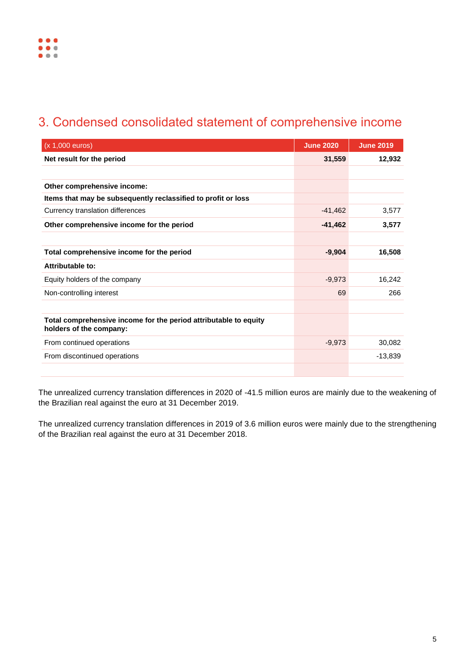# <span id="page-4-0"></span>3. Condensed consolidated statement of comprehensive income

| (x 1,000 euros)                                                                             | <b>June 2020</b> | <b>June 2019</b> |
|---------------------------------------------------------------------------------------------|------------------|------------------|
| Net result for the period                                                                   | 31,559           | 12,932           |
|                                                                                             |                  |                  |
| Other comprehensive income:                                                                 |                  |                  |
| Items that may be subsequently reclassified to profit or loss                               |                  |                  |
| Currency translation differences                                                            | $-41,462$        | 3,577            |
| Other comprehensive income for the period                                                   | $-41,462$        | 3,577            |
|                                                                                             |                  |                  |
| Total comprehensive income for the period                                                   | $-9,904$         | 16,508           |
| Attributable to:                                                                            |                  |                  |
| Equity holders of the company                                                               | $-9,973$         | 16,242           |
| Non-controlling interest                                                                    | 69               | 266              |
|                                                                                             |                  |                  |
| Total comprehensive income for the period attributable to equity<br>holders of the company: |                  |                  |
| From continued operations                                                                   | $-9,973$         | 30,082           |
| From discontinued operations                                                                |                  | $-13,839$        |
|                                                                                             |                  |                  |

The unrealized currency translation differences in 2020 of -41.5 million euros are mainly due to the weakening of the Brazilian real against the euro at 31 December 2019.

The unrealized currency translation differences in 2019 of 3.6 million euros were mainly due to the strengthening of the Brazilian real against the euro at 31 December 2018.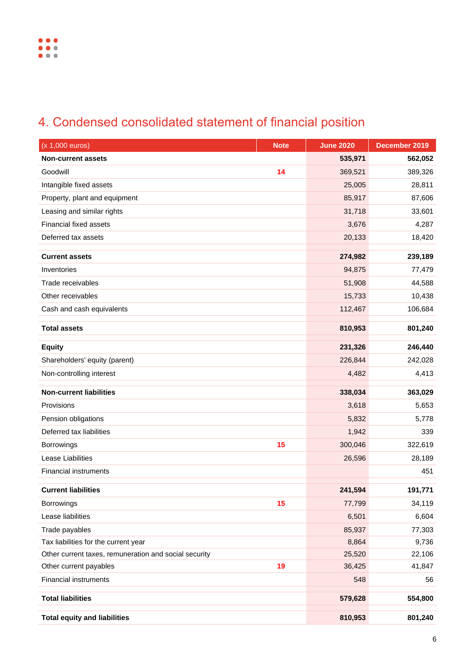# <span id="page-5-0"></span>4. Condensed consolidated statement of financial position

| (x 1,000 euros)                                       | <b>Note</b> | <b>June 2020</b> | December 2019 |
|-------------------------------------------------------|-------------|------------------|---------------|
| <b>Non-current assets</b>                             |             | 535,971          | 562,052       |
| Goodwill                                              | 14          | 369,521          | 389,326       |
| Intangible fixed assets                               |             | 25,005           | 28,811        |
| Property, plant and equipment                         |             | 85,917           | 87,606        |
| Leasing and similar rights                            |             | 31,718           | 33,601        |
| <b>Financial fixed assets</b>                         |             | 3,676            | 4,287         |
| Deferred tax assets                                   |             | 20,133           | 18,420        |
| <b>Current assets</b>                                 |             | 274,982          | 239,189       |
| Inventories                                           |             | 94,875           | 77,479        |
| Trade receivables                                     |             | 51,908           | 44,588        |
| Other receivables                                     |             | 15,733           | 10,438        |
| Cash and cash equivalents                             |             | 112,467          | 106,684       |
| <b>Total assets</b>                                   |             | 810,953          | 801,240       |
| <b>Equity</b>                                         |             | 231,326          | 246,440       |
| Shareholders' equity (parent)                         |             | 226,844          | 242,028       |
| Non-controlling interest                              |             | 4,482            | 4,413         |
|                                                       |             |                  |               |
| <b>Non-current liabilities</b>                        |             | 338,034          | 363,029       |
| Provisions                                            |             | 3,618            | 5,653         |
| Pension obligations                                   |             | 5,832            | 5,778         |
| Deferred tax liabilities                              |             | 1,942            | 339           |
| Borrowings                                            | 15          | 300,046          | 322,619       |
| Lease Liabilities                                     |             | 26,596           | 28,189        |
| <b>Financial instruments</b>                          |             |                  | 451           |
| <b>Current liabilities</b>                            |             | 241,594          | 191,771       |
| Borrowings                                            | 15          | 77,799           | 34,119        |
| Lease liabilities                                     |             | 6,501            | 6,604         |
| Trade payables                                        |             | 85,937           | 77,303        |
| Tax liabilities for the current year                  |             | 8,864            | 9,736         |
| Other current taxes, remuneration and social security |             | 25,520           | 22,106        |
| Other current payables                                | 19          | 36,425           | 41,847        |
| <b>Financial instruments</b>                          |             | 548              | 56            |
| <b>Total liabilities</b>                              |             | 579,628          | 554,800       |
| <b>Total equity and liabilities</b>                   |             | 810,953          | 801,240       |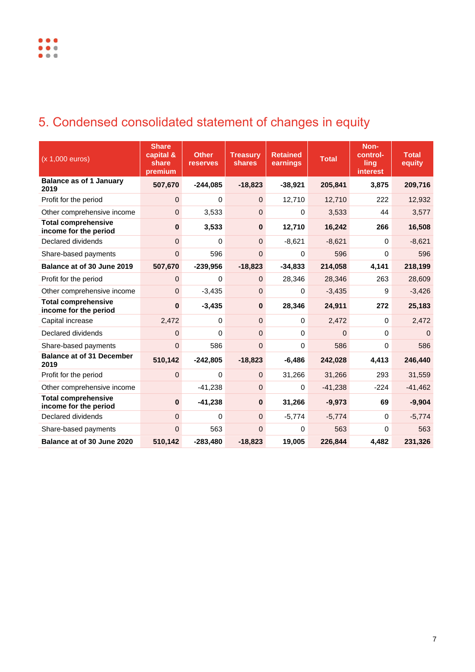# <span id="page-6-0"></span>5. Condensed consolidated statement of changes in equity

| (x 1,000 euros)                                     | <b>Share</b><br>capital &<br>share<br>premium | <b>Other</b><br><b>reserves</b> | <b>Treasury</b><br><b>shares</b> | <b>Retained</b><br>earnings | <b>Total</b> | Non-<br>control-<br><b>ling</b><br><b>interest</b> | <b>Total</b><br>equity |
|-----------------------------------------------------|-----------------------------------------------|---------------------------------|----------------------------------|-----------------------------|--------------|----------------------------------------------------|------------------------|
| <b>Balance as of 1 January</b><br>2019              | 507,670                                       | $-244,085$                      | $-18,823$                        | $-38,921$                   | 205,841      | 3,875                                              | 209,716                |
| Profit for the period                               | $\mathbf 0$                                   | 0                               | $\mathbf{0}$                     | 12,710                      | 12,710       | 222                                                | 12,932                 |
| Other comprehensive income                          | $\pmb{0}$                                     | 3,533                           | $\mathbf 0$                      | 0                           | 3,533        | 44                                                 | 3,577                  |
| <b>Total comprehensive</b><br>income for the period | $\bf{0}$                                      | 3,533                           | $\mathbf{0}$                     | 12,710                      | 16,242       | 266                                                | 16,508                 |
| Declared dividends                                  | $\mathbf 0$                                   | 0                               | $\mathbf 0$                      | $-8,621$                    | $-8,621$     | $\Omega$                                           | $-8,621$               |
| Share-based payments                                | $\mathbf 0$                                   | 596                             | 0                                | 0                           | 596          | $\Omega$                                           | 596                    |
| Balance at of 30 June 2019                          | 507,670                                       | $-239,956$                      | $-18,823$                        | $-34,833$                   | 214,058      | 4,141                                              | 218,199                |
| Profit for the period                               | $\mathbf{0}$                                  | 0                               | $\overline{0}$                   | 28,346                      | 28,346       | 263                                                | 28,609                 |
| Other comprehensive income                          | $\overline{0}$                                | $-3,435$                        | $\overline{0}$                   | $\Omega$                    | $-3,435$     | 9                                                  | $-3,426$               |
| <b>Total comprehensive</b><br>income for the period | $\mathbf{0}$                                  | $-3,435$                        | $\mathbf{0}$                     | 28,346                      | 24,911       | 272                                                | 25,183                 |
| Capital increase                                    | 2,472                                         | 0                               | $\overline{0}$                   | 0                           | 2,472        | $\Omega$                                           | 2,472                  |
| Declared dividends                                  | $\mathbf{0}$                                  | 0                               | $\mathbf 0$                      | 0                           | $\Omega$     | $\Omega$                                           | $\Omega$               |
| Share-based payments                                | $\overline{0}$                                | 586                             | 0                                | 0                           | 586          | $\mathbf 0$                                        | 586                    |
| <b>Balance at of 31 December</b><br>2019            | 510,142                                       | $-242,805$                      | $-18,823$                        | $-6,486$                    | 242,028      | 4,413                                              | 246,440                |
| Profit for the period                               | $\overline{0}$                                | $\Omega$                        | $\mathbf{0}$                     | 31,266                      | 31,266       | 293                                                | 31,559                 |
| Other comprehensive income                          |                                               | $-41,238$                       | $\mathbf{0}$                     | 0                           | $-41,238$    | $-224$                                             | $-41,462$              |
| <b>Total comprehensive</b><br>income for the period | $\pmb{0}$                                     | $-41,238$                       | $\bf{0}$                         | 31,266                      | $-9,973$     | 69                                                 | $-9,904$               |
| Declared dividends                                  | $\pmb{0}$                                     | $\mathbf 0$                     | $\overline{0}$                   | $-5,774$                    | $-5,774$     | 0                                                  | $-5,774$               |
| Share-based payments                                | $\mathbf{0}$                                  | 563                             | 0                                | 0                           | 563          | 0                                                  | 563                    |
| Balance at of 30 June 2020                          | 510,142                                       | $-283,480$                      | $-18,823$                        | 19,005                      | 226,844      | 4,482                                              | 231,326                |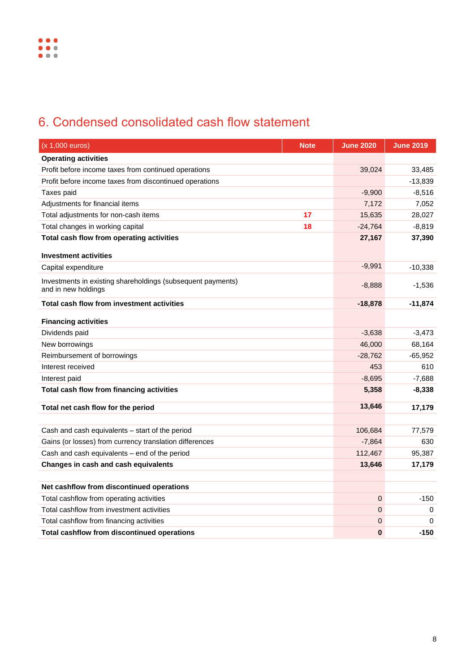# <span id="page-7-0"></span>6. Condensed consolidated cash flow statement

| (x 1,000 euros)                                                                    | <b>Note</b> | <b>June 2020</b> | <b>June 2019</b> |
|------------------------------------------------------------------------------------|-------------|------------------|------------------|
| <b>Operating activities</b>                                                        |             |                  |                  |
| Profit before income taxes from continued operations                               |             | 39,024           | 33,485           |
| Profit before income taxes from discontinued operations                            |             |                  | $-13,839$        |
| Taxes paid                                                                         |             | $-9,900$         | $-8,516$         |
| Adjustments for financial items                                                    |             | 7,172            | 7,052            |
| Total adjustments for non-cash items                                               | 17          | 15,635           | 28,027           |
| Total changes in working capital                                                   | 18          | $-24,764$        | $-8,819$         |
| Total cash flow from operating activities                                          |             | 27,167           | 37,390           |
| <b>Investment activities</b>                                                       |             |                  |                  |
| Capital expenditure                                                                |             | $-9,991$         | $-10,338$        |
| Investments in existing shareholdings (subsequent payments)<br>and in new holdings |             | $-8,888$         | $-1,536$         |
| <b>Total cash flow from investment activities</b>                                  |             | $-18,878$        | $-11,874$        |
| <b>Financing activities</b>                                                        |             |                  |                  |
| Dividends paid                                                                     | $-3,638$    | $-3,473$         |                  |
| New borrowings                                                                     |             |                  | 68,164           |
| Reimbursement of borrowings                                                        |             | $-28,762$        | $-65,952$        |
| Interest received                                                                  |             | 453              | 610              |
| Interest paid                                                                      |             | $-8,695$         | $-7,688$         |
| Total cash flow from financing activities                                          |             | 5,358            | $-8,338$         |
| Total net cash flow for the period                                                 |             | 13,646           | 17,179           |
|                                                                                    |             |                  |                  |
| Cash and cash equivalents - start of the period                                    |             | 106,684          | 77,579           |
| Gains (or losses) from currency translation differences                            |             | $-7,864$         | 630              |
| Cash and cash equivalents - end of the period                                      |             | 112,467          | 95,387           |
| Changes in cash and cash equivalents                                               |             | 13,646           | 17,179           |
|                                                                                    |             |                  |                  |
| Net cashflow from discontinued operations                                          |             | 0                |                  |
| Total cashflow from operating activities                                           |             |                  | $-150$           |
| Total cashflow from investment activities                                          |             | 0                | 0                |
| Total cashflow from financing activities                                           |             | 0                | 0                |
| Total cashflow from discontinued operations                                        |             | $\bf{0}$         | $-150$           |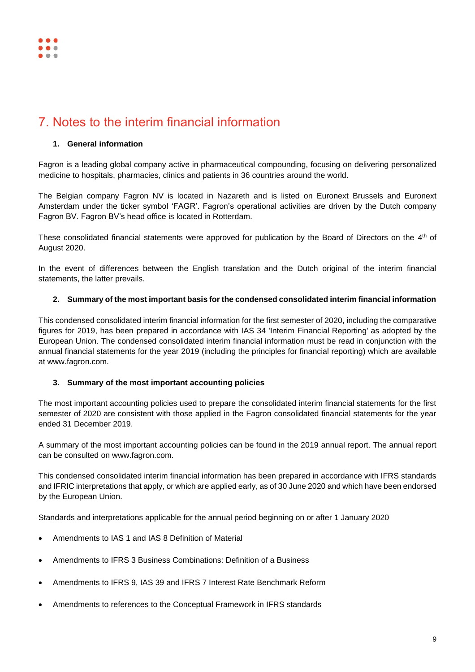# <span id="page-8-0"></span>7. Notes to the interim financial information

#### **1. General information**

Fagron is a leading global company active in pharmaceutical compounding, focusing on delivering personalized medicine to hospitals, pharmacies, clinics and patients in 36 countries around the world.

The Belgian company Fagron NV is located in Nazareth and is listed on Euronext Brussels and Euronext Amsterdam under the ticker symbol 'FAGR'. Fagron's operational activities are driven by the Dutch company Fagron BV. Fagron BV's head office is located in Rotterdam.

These consolidated financial statements were approved for publication by the Board of Directors on the 4<sup>th</sup> of August 2020.

In the event of differences between the English translation and the Dutch original of the interim financial statements, the latter prevails.

#### **2. Summary of the most important basis for the condensed consolidated interim financial information**

This condensed consolidated interim financial information for the first semester of 2020, including the comparative figures for 2019, has been prepared in accordance with IAS 34 'Interim Financial Reporting' as adopted by the European Union. The condensed consolidated interim financial information must be read in conjunction with the annual financial statements for the year 2019 (including the principles for financial reporting) which are available at [www.fagron.com.](http://www.fagron.com/)

### **3. Summary of the most important accounting policies**

The most important accounting policies used to prepare the consolidated interim financial statements for the first semester of 2020 are consistent with those applied in the Fagron consolidated financial statements for the year ended 31 December 2019.

A summary of the most important accounting policies can be found in the 2019 annual report. The annual report can be consulted on www.fagron.com.

This condensed consolidated interim financial information has been prepared in accordance with IFRS standards and IFRIC interpretations that apply, or which are applied early, as of 30 June 2020 and which have been endorsed by the European Union.

Standards and interpretations applicable for the annual period beginning on or after 1 January 2020

- Amendments to IAS 1 and IAS 8 Definition of Material
- Amendments to IFRS 3 Business Combinations: Definition of a Business
- Amendments to IFRS 9, IAS 39 and IFRS 7 Interest Rate Benchmark Reform
- Amendments to references to the Conceptual Framework in IFRS standards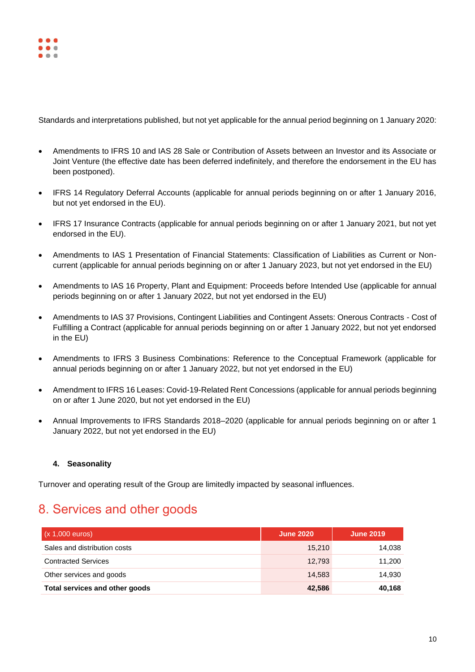

Standards and interpretations published, but not yet applicable for the annual period beginning on 1 January 2020:

- Amendments to IFRS 10 and IAS 28 Sale or Contribution of Assets between an Investor and its Associate or Joint Venture (the effective date has been deferred indefinitely, and therefore the endorsement in the EU has been postponed).
- IFRS 14 Regulatory Deferral Accounts (applicable for annual periods beginning on or after 1 January 2016, but not yet endorsed in the EU).
- IFRS 17 Insurance Contracts (applicable for annual periods beginning on or after 1 January 2021, but not yet endorsed in the EU).
- Amendments to IAS 1 Presentation of Financial Statements: Classification of Liabilities as Current or Noncurrent (applicable for annual periods beginning on or after 1 January 2023, but not yet endorsed in the EU)
- Amendments to IAS 16 Property, Plant and Equipment: Proceeds before Intended Use (applicable for annual periods beginning on or after 1 January 2022, but not yet endorsed in the EU)
- Amendments to IAS 37 Provisions, Contingent Liabilities and Contingent Assets: Onerous Contracts Cost of Fulfilling a Contract (applicable for annual periods beginning on or after 1 January 2022, but not yet endorsed in the EU)
- Amendments to IFRS 3 Business Combinations: Reference to the Conceptual Framework (applicable for annual periods beginning on or after 1 January 2022, but not yet endorsed in the EU)
- Amendment to IFRS 16 Leases: Covid-19-Related Rent Concessions (applicable for annual periods beginning on or after 1 June 2020, but not yet endorsed in the EU)
- Annual Improvements to IFRS Standards 2018–2020 (applicable for annual periods beginning on or after 1 January 2022, but not yet endorsed in the EU)

### **4. Seasonality**

Turnover and operating result of the Group are limitedly impacted by seasonal influences.

### <span id="page-9-0"></span>8. Services and other goods

| $(x 1,000 \text{ euros})$      | <b>June 2020</b> | <b>June 2019</b> |
|--------------------------------|------------------|------------------|
| Sales and distribution costs   | 15.210           | 14,038           |
| <b>Contracted Services</b>     | 12,793           | 11,200           |
| Other services and goods       | 14.583           | 14,930           |
| Total services and other goods | 42.586           | 40,168           |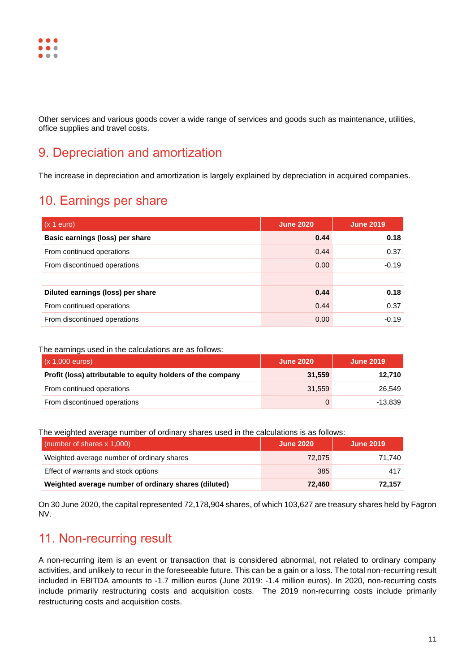

Other services and various goods cover a wide range of services and goods such as maintenance, utilities, office supplies and travel costs.

## <span id="page-10-0"></span>9. Depreciation and amortization

The increase in depreciation and amortization is largely explained by depreciation in acquired companies.

### <span id="page-10-1"></span>10. Earnings per share

| $(x 1$ euro)                      | <b>June 2020</b> | <b>June 2019</b> |
|-----------------------------------|------------------|------------------|
| Basic earnings (loss) per share   | 0.44             | 0.18             |
| From continued operations         | 0.44             | 0.37             |
| From discontinued operations      | 0.00             | $-0.19$          |
|                                   |                  |                  |
| Diluted earnings (loss) per share | 0.44             | 0.18             |
| From continued operations         | 0.44             | 0.37             |
| From discontinued operations      | 0.00             | $-0.19$          |

#### The earnings used in the calculations are as follows:

| $(x 1,000 \text{ euros})$                                   | <b>June 2020</b> | <b>June 2019</b> |
|-------------------------------------------------------------|------------------|------------------|
| Profit (loss) attributable to equity holders of the company | 31.559           | 12.710           |
| From continued operations                                   | 31.559           | 26.549           |
| From discontinued operations                                |                  | -13.839          |

The weighted average number of ordinary shares used in the calculations is as follows:

| (number of shares $x$ 1,000)                         | <b>June 2020</b> | June 2019 |
|------------------------------------------------------|------------------|-----------|
| Weighted average number of ordinary shares           | 72.075           | 71.740    |
| Effect of warrants and stock options                 | 385              | 417       |
| Weighted average number of ordinary shares (diluted) | 72.460           | 72.157    |

On 30 June 2020, the capital represented 72,178,904 shares, of which 103,627 are treasury shares held by Fagron NV.

### <span id="page-10-2"></span>11. Non-recurring result

A non-recurring item is an event or transaction that is considered abnormal, not related to ordinary company activities, and unlikely to recur in the foreseeable future. This can be a gain or a loss. The total non-recurring result included in EBITDA amounts to -1.7 million euros (June 2019: -1.4 million euros). In 2020, non-recurring costs include primarily restructuring costs and acquisition costs. The 2019 non-recurring costs include primarily restructuring costs and acquisition costs.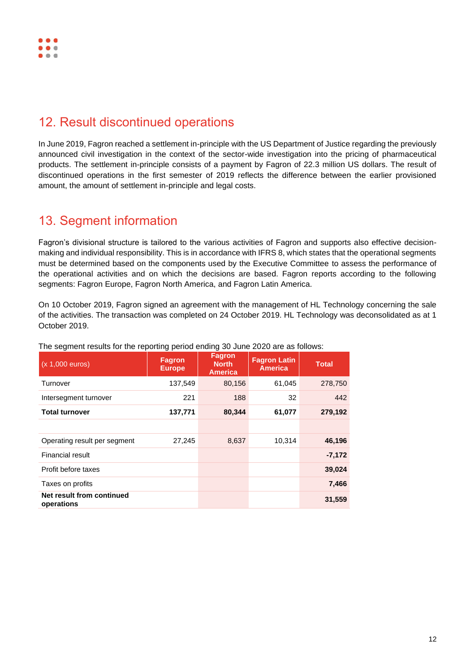# <span id="page-11-0"></span>12. Result discontinued operations

In June 2019, Fagron reached a settlement in-principle with the US Department of Justice regarding the previously announced civil investigation in the context of the sector-wide investigation into the pricing of pharmaceutical products. The settlement in-principle consists of a payment by Fagron of 22.3 million US dollars. The result of discontinued operations in the first semester of 2019 reflects the difference between the earlier provisioned amount, the amount of settlement in-principle and legal costs.

### <span id="page-11-1"></span>13. Segment information

Fagron's divisional structure is tailored to the various activities of Fagron and supports also effective decisionmaking and individual responsibility. This is in accordance with IFRS 8, which states that the operational segments must be determined based on the components used by the Executive Committee to assess the performance of the operational activities and on which the decisions are based. Fagron reports according to the following segments: Fagron Europe, Fagron North America, and Fagron Latin America.

On 10 October 2019, Fagron signed an agreement with the management of HL Technology concerning the sale of the activities. The transaction was completed on 24 October 2019. HL Technology was deconsolidated as at 1 October 2019.

| $(x 1,000$ euros)                       | <b>Fagron</b><br><b>Europe</b> | <b>Fagron</b><br><b>North</b><br><b>America</b> | <b>Fagron Latin</b><br><b>America</b> | <b>Total</b> |
|-----------------------------------------|--------------------------------|-------------------------------------------------|---------------------------------------|--------------|
| Turnover                                | 137,549                        | 80,156                                          | 61,045                                | 278,750      |
| Intersegment turnover                   | 221                            | 188                                             | 32                                    | 442          |
| <b>Total turnover</b>                   | 137,771                        | 80,344                                          | 61,077                                | 279,192      |
|                                         |                                |                                                 |                                       |              |
| Operating result per segment            | 27,245                         | 8,637                                           | 10,314                                | 46,196       |
| <b>Financial result</b>                 |                                |                                                 |                                       | $-7,172$     |
| Profit before taxes                     |                                |                                                 |                                       | 39,024       |
| Taxes on profits                        |                                |                                                 |                                       | 7,466        |
| Net result from continued<br>operations |                                |                                                 |                                       | 31,559       |

The segment results for the reporting period ending 30 June 2020 are as follows: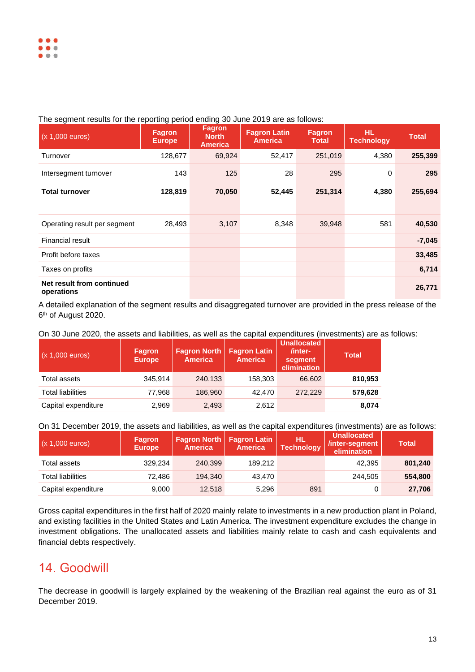#### The segment results for the reporting period ending 30 June 2019 are as follows:

| $(x 1,000$ euros)                       | <b>Fagron</b><br><b>Europe</b> | <b>Fagron</b><br><b>North</b><br><b>America</b> | <b>Fagron Latin</b><br><b>America</b> | <b>Fagron</b><br><b>Total</b> | <b>HL</b><br><b>Technology</b> | <b>Total</b> |
|-----------------------------------------|--------------------------------|-------------------------------------------------|---------------------------------------|-------------------------------|--------------------------------|--------------|
| Turnover                                | 128,677                        | 69,924                                          | 52,417                                | 251,019                       | 4,380                          | 255,399      |
| Intersegment turnover                   | 143                            | 125                                             | 28                                    | 295                           | 0                              | 295          |
| <b>Total turnover</b>                   | 128,819                        | 70,050                                          | 52,445                                | 251,314                       | 4,380                          | 255,694      |
|                                         |                                |                                                 |                                       |                               |                                |              |
| Operating result per segment            | 28,493                         | 3,107                                           | 8,348                                 | 39,948                        | 581                            | 40,530       |
| Financial result                        |                                |                                                 |                                       |                               |                                | $-7,045$     |
| Profit before taxes                     |                                |                                                 |                                       |                               |                                | 33,485       |
| Taxes on profits                        |                                |                                                 |                                       |                               |                                | 6,714        |
| Net result from continued<br>operations |                                |                                                 |                                       |                               |                                | 26,771       |

A detailed explanation of the segment results and disaggregated turnover are provided in the press release of the 6 th of August 2020.

On 30 June 2020, the assets and liabilities, as well as the capital expenditures (investments) are as follows:

| $(x 1,000$ euros)        | <b>Fagron</b><br><b>Europe</b> | <b>Fagron North</b><br><b>America</b> | <b>Fagron Latin</b><br><b>America</b> | <b>Unallocated</b><br>/inter-<br>segment<br>elimination | <b>Total</b> |
|--------------------------|--------------------------------|---------------------------------------|---------------------------------------|---------------------------------------------------------|--------------|
| Total assets             | 345.914                        | 240,133                               | 158,303                               | 66.602                                                  | 810,953      |
| <b>Total liabilities</b> | 77,968                         | 186,960                               | 42.470                                | 272,229                                                 | 579,628      |
| Capital expenditure      | 2,969                          | 2,493                                 | 2,612                                 |                                                         | 8,074        |

On 31 December 2019, the assets and liabilities, as well as the capital expenditures (investments) are as follows:

| $(x 1,000 \text{ euros})$ | /Fagron<br><b>Europe</b> | <b>Fagron North   Fagron Latin</b><br><b>America</b> | <b>America</b> | HL.<br><b>Technology</b> | <b>Unallocated</b><br>/inter-segment<br>elimination | Total   |
|---------------------------|--------------------------|------------------------------------------------------|----------------|--------------------------|-----------------------------------------------------|---------|
| Total assets              | 329.234                  | 240.399                                              | 189.212        |                          | 42.395                                              | 801,240 |
| <b>Total liabilities</b>  | 72.486                   | 194.340                                              | 43.470         |                          | 244.505                                             | 554,800 |
| Capital expenditure       | 9,000                    | 12,518                                               | 5.296          | 891                      |                                                     | 27,706  |

Gross capital expenditures in the first half of 2020 mainly relate to investments in a new production plant in Poland, and existing facilities in the United States and Latin America. The investment expenditure excludes the change in investment obligations. The unallocated assets and liabilities mainly relate to cash and cash equivalents and financial debts respectively.

### <span id="page-12-0"></span>14. Goodwill

The decrease in goodwill is largely explained by the weakening of the Brazilian real against the euro as of 31 December 2019.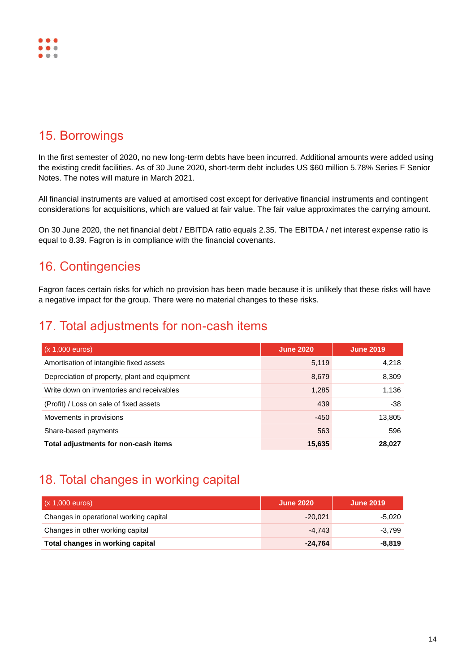

### <span id="page-13-0"></span>15. Borrowings

In the first semester of 2020, no new long-term debts have been incurred. Additional amounts were added using the existing credit facilities. As of 30 June 2020, short-term debt includes US \$60 million 5.78% Series F Senior Notes. The notes will mature in March 2021.

All financial instruments are valued at amortised cost except for derivative financial instruments and contingent considerations for acquisitions, which are valued at fair value. The fair value approximates the carrying amount.

On 30 June 2020, the net financial debt / EBITDA ratio equals 2.35. The EBITDA / net interest expense ratio is equal to 8.39. Fagron is in compliance with the financial covenants.

### <span id="page-13-1"></span>16. Contingencies

Fagron faces certain risks for which no provision has been made because it is unlikely that these risks will have a negative impact for the group. There were no material changes to these risks.

### <span id="page-13-2"></span>17. Total adjustments for non-cash items

| $(x 1,000$ euros)                             | <b>June 2020</b> | <b>June 2019</b> |
|-----------------------------------------------|------------------|------------------|
| Amortisation of intangible fixed assets       | 5,119            | 4,218            |
| Depreciation of property, plant and equipment | 8,679            | 8,309            |
| Write down on inventories and receivables     | 1,285            | 1.136            |
| (Profit) / Loss on sale of fixed assets       | 439              | $-38$            |
| Movements in provisions                       | $-450$           | 13,805           |
| Share-based payments                          | 563              | 596              |
| Total adjustments for non-cash items          | 15,635           | 28,027           |

### <span id="page-13-3"></span>18. Total changes in working capital

| $(x 1,000 \text{ euros})$              | <b>June 2020</b> | <b>June 2019</b> |
|----------------------------------------|------------------|------------------|
| Changes in operational working capital | $-20.021$        | -5.020           |
| Changes in other working capital       | $-4.743$         | $-3.799$         |
| Total changes in working capital       | $-24.764$        | $-8.819$         |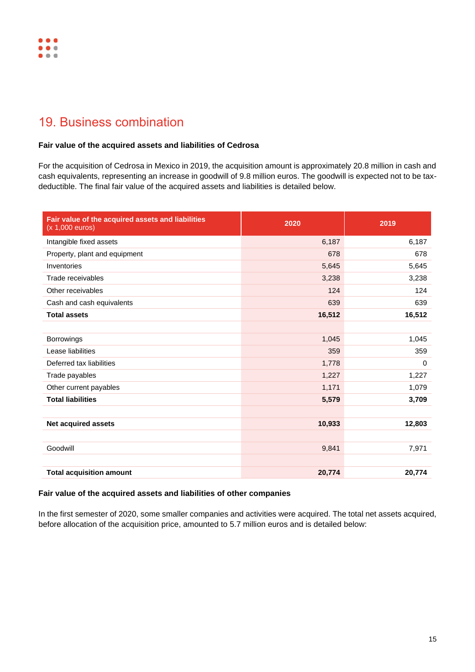# <span id="page-14-0"></span>19. Business combination

#### **Fair value of the acquired assets and liabilities of Cedrosa**

For the acquisition of Cedrosa in Mexico in 2019, the acquisition amount is approximately 20.8 million in cash and cash equivalents, representing an increase in goodwill of 9.8 million euros. The goodwill is expected not to be taxdeductible. The final fair value of the acquired assets and liabilities is detailed below.

| Fair value of the acquired assets and liabilities<br>$(x 1,000$ euros) | 2020   | 2019     |
|------------------------------------------------------------------------|--------|----------|
| Intangible fixed assets                                                | 6,187  | 6,187    |
| Property, plant and equipment                                          | 678    | 678      |
| Inventories                                                            | 5,645  | 5,645    |
| Trade receivables                                                      | 3,238  | 3,238    |
| Other receivables                                                      | 124    | 124      |
| Cash and cash equivalents                                              | 639    | 639      |
| <b>Total assets</b>                                                    | 16,512 | 16,512   |
|                                                                        |        |          |
| Borrowings                                                             | 1,045  | 1,045    |
| Lease liabilities                                                      | 359    | 359      |
| Deferred tax liabilities                                               | 1,778  | $\Omega$ |
| Trade payables                                                         | 1,227  | 1,227    |
| Other current payables                                                 | 1,171  | 1,079    |
| <b>Total liabilities</b>                                               | 5,579  | 3,709    |
|                                                                        |        |          |
| <b>Net acquired assets</b>                                             | 10,933 | 12,803   |
|                                                                        |        |          |
| Goodwill                                                               | 9,841  | 7,971    |
|                                                                        |        |          |
| <b>Total acquisition amount</b>                                        | 20,774 | 20,774   |

#### **Fair value of the acquired assets and liabilities of other companies**

In the first semester of 2020, some smaller companies and activities were acquired. The total net assets acquired, before allocation of the acquisition price, amounted to 5.7 million euros and is detailed below: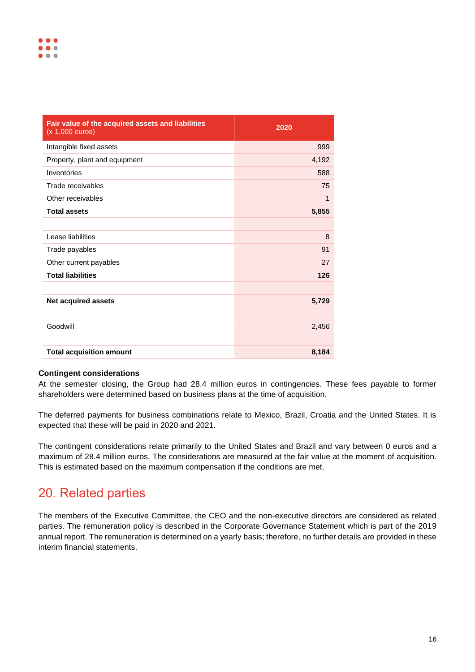| Fair value of the acquired assets and liabilities<br>(x 1,000 euros) | 2020  |
|----------------------------------------------------------------------|-------|
| Intangible fixed assets                                              | 999   |
| Property, plant and equipment                                        | 4,192 |
| Inventories                                                          | 588   |
| Trade receivables                                                    | 75    |
| Other receivables                                                    | 1     |
| <b>Total assets</b>                                                  | 5,855 |
|                                                                      |       |
| Lease liabilities                                                    | 8     |
| Trade payables                                                       | 91    |
| Other current payables                                               | 27    |
| <b>Total liabilities</b>                                             | 126   |
|                                                                      |       |
| <b>Net acquired assets</b>                                           | 5,729 |
|                                                                      |       |
| Goodwill                                                             | 2,456 |
|                                                                      |       |
| <b>Total acquisition amount</b>                                      | 8,184 |

#### **Contingent considerations**

At the semester closing, the Group had 28.4 million euros in contingencies. These fees payable to former shareholders were determined based on business plans at the time of acquisition.

The deferred payments for business combinations relate to Mexico, Brazil, Croatia and the United States. It is expected that these will be paid in 2020 and 2021.

The contingent considerations relate primarily to the United States and Brazil and vary between 0 euros and a maximum of 28.4 million euros. The considerations are measured at the fair value at the moment of acquisition. This is estimated based on the maximum compensation if the conditions are met.

### <span id="page-15-0"></span>20. Related parties

The members of the Executive Committee, the CEO and the non-executive directors are considered as related parties. The remuneration policy is described in the Corporate Governance Statement which is part of the 2019 annual report. The remuneration is determined on a yearly basis; therefore, no further details are provided in these interim financial statements.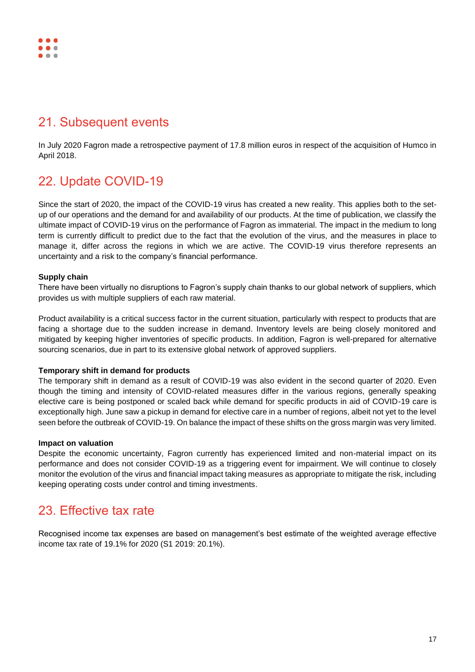### ..  $\bullet$

### <span id="page-16-0"></span>21. Subsequent events

In July 2020 Fagron made a retrospective payment of 17.8 million euros in respect of the acquisition of Humco in April 2018.

# <span id="page-16-1"></span>22. Update COVID-19

Since the start of 2020, the impact of the COVID-19 virus has created a new reality. This applies both to the setup of our operations and the demand for and availability of our products. At the time of publication, we classify the ultimate impact of COVID-19 virus on the performance of Fagron as immaterial. The impact in the medium to long term is currently difficult to predict due to the fact that the evolution of the virus, and the measures in place to manage it, differ across the regions in which we are active. The COVID-19 virus therefore represents an uncertainty and a risk to the company's financial performance.

### **Supply chain**

There have been virtually no disruptions to Fagron's supply chain thanks to our global network of suppliers, which provides us with multiple suppliers of each raw material.

Product availability is a critical success factor in the current situation, particularly with respect to products that are facing a shortage due to the sudden increase in demand. Inventory levels are being closely monitored and mitigated by keeping higher inventories of specific products. In addition, Fagron is well-prepared for alternative sourcing scenarios, due in part to its extensive global network of approved suppliers.

#### **Temporary shift in demand for products**

The temporary shift in demand as a result of COVID-19 was also evident in the second quarter of 2020. Even though the timing and intensity of COVID-related measures differ in the various regions, generally speaking elective care is being postponed or scaled back while demand for specific products in aid of COVID-19 care is exceptionally high. June saw a pickup in demand for elective care in a number of regions, albeit not yet to the level seen before the outbreak of COVID-19. On balance the impact of these shifts on the gross margin was very limited.

### **Impact on valuation**

Despite the economic uncertainty, Fagron currently has experienced limited and non-material impact on its performance and does not consider COVID-19 as a triggering event for impairment. We will continue to closely monitor the evolution of the virus and financial impact taking measures as appropriate to mitigate the risk, including keeping operating costs under control and timing investments.

## <span id="page-16-2"></span>23. Effective tax rate

Recognised income tax expenses are based on management's best estimate of the weighted average effective income tax rate of 19.1% for 2020 (S1 2019: 20.1%).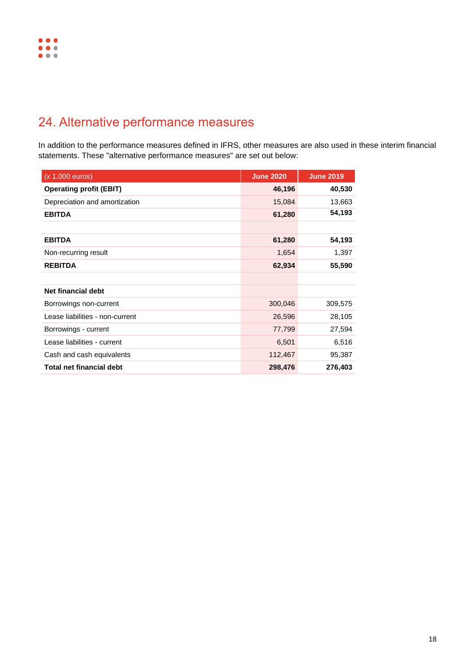# <span id="page-17-0"></span>24. Alternative performance measures

In addition to the performance measures defined in IFRS, other measures are also used in these interim financial statements. These "alternative performance measures" are set out below:

| (x 1,000 euros)                 | <b>June 2020</b> | <b>June 2019</b> |
|---------------------------------|------------------|------------------|
| <b>Operating profit (EBIT)</b>  | 46,196           | 40,530           |
| Depreciation and amortization   | 15,084           | 13,663           |
| <b>EBITDA</b>                   | 61,280           | 54,193           |
|                                 |                  |                  |
| <b>EBITDA</b>                   | 61,280           | 54,193           |
| Non-recurring result            | 1,654            | 1,397            |
| <b>REBITDA</b>                  | 62,934           | 55,590           |
|                                 |                  |                  |
| Net financial debt              |                  |                  |
| Borrowings non-current          | 300,046          | 309,575          |
| Lease liabilities - non-current | 26,596           | 28,105           |
| Borrowings - current            | 77,799           | 27,594           |
| Lease liabilities - current     | 6,501            | 6,516            |
| Cash and cash equivalents       | 112,467          | 95,387           |
| <b>Total net financial debt</b> | 298,476          | 276,403          |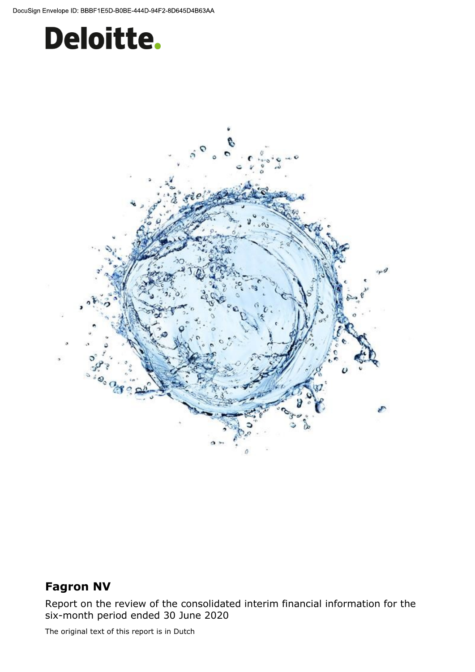



### **Fagron NV**

Report on the review of the consolidated interim financial information for the six-month period ended 30 June 2020

The original text of this report is in Dutch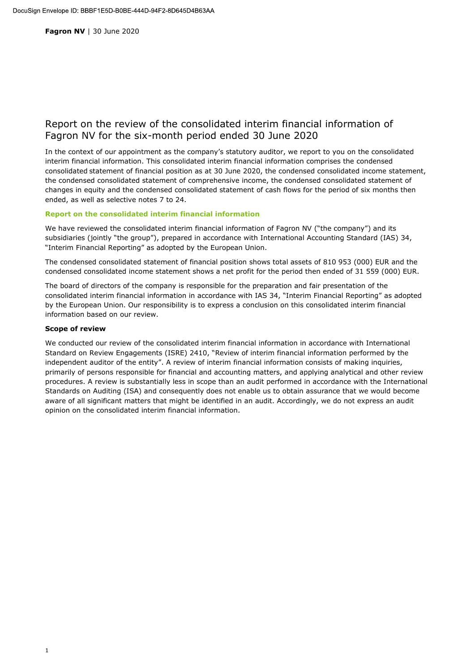Fagron NV | 30 June 2020

### Report on the review of the consolidated interim financial information of Fagron NV for the six-month period ended 30 June 2020

In the context of our appointment as the company's statutory auditor, we report to you on the consolidated interim financial information. This consolidated interim financial information comprises the condensed consolidated statement of financial position as at 30 June 2020, the condensed consolidated income statement, the condensed consolidated statement of comprehensive income, the condensed consolidated statement of changes in equity and the condensed consolidated statement of cash flows for the period of six months then ended, as well as selective notes 7 to 24.

#### Report on the consolidated interim financial information

We have reviewed the consolidated interim financial information of Fagron NV ("the company") and its subsidiaries (jointly "the group"), prepared in accordance with International Accounting Standard (IAS) 34, "Interim Financial Reporting" as adopted by the European Union.

The condensed consolidated statement of financial position shows total assets of 810 953 (000) EUR and the condensed consolidated income statement shows a net profit for the period then ended of 31 559 (000) EUR.

The board of directors of the company is responsible for the preparation and fair presentation of the consolidated interim financial information in accordance with IAS 34, "Interim Financial Reporting" as adopted by the European Union. Our responsibility is to express a conclusion on this consolidated interim financial information based on our review.

#### **Scope of review**

We conducted our review of the consolidated interim financial information in accordance with International Standard on Review Engagements (ISRE) 2410, "Review of interim financial information performed by the independent auditor of the entity". A review of interim financial information consists of making inquiries, primarily of persons responsible for financial and accounting matters, and applying analytical and other review procedures. A review is substantially less in scope than an audit performed in accordance with the International Standards on Auditing (ISA) and consequently does not enable us to obtain assurance that we would become aware of all significant matters that might be identified in an audit. Accordingly, we do not express an audit opinion on the consolidated interim financial information.